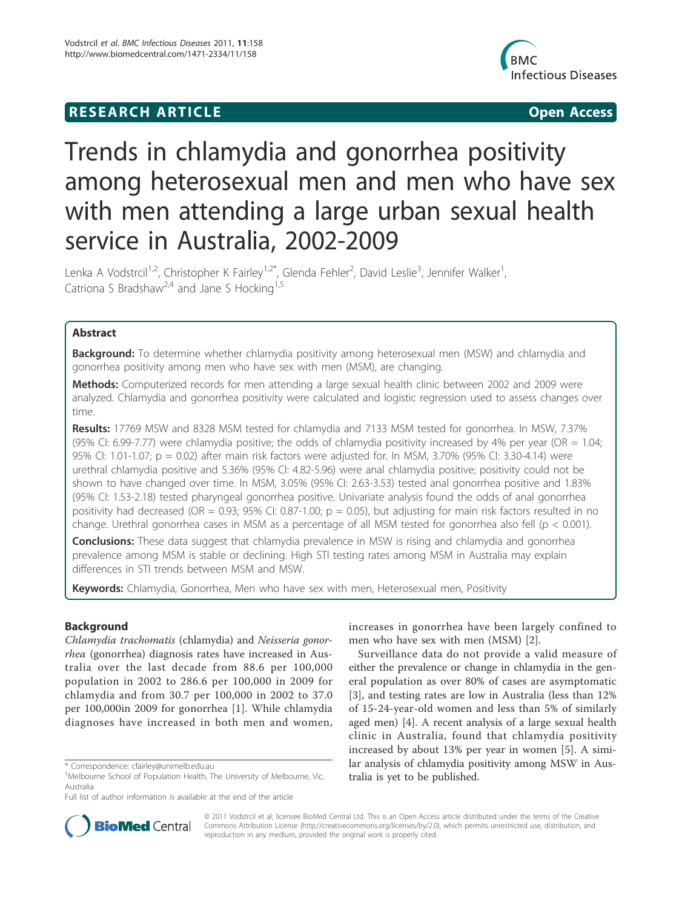## **RESEARCH ARTICLE Example 2018 CONSIDERING ACCESS**



# Trends in chlamydia and gonorrhea positivity among heterosexual men and men who have sex with men attending a large urban sexual health service in Australia, 2002-2009

Lenka A Vodstrcil<sup>1,2</sup>, Christopher K Fairley<sup>1,2\*</sup>, Glenda Fehler<sup>2</sup>, David Leslie<sup>3</sup>, Jennifer Walker<sup>1</sup> , Catriona S Bradshaw<sup>2,4</sup> and Jane S Hocking<sup>1,5</sup>

## Abstract

**Background:** To determine whether chlamydia positivity among heterosexual men (MSW) and chlamydia and gonorrhea positivity among men who have sex with men (MSM), are changing.

Methods: Computerized records for men attending a large sexual health clinic between 2002 and 2009 were analyzed. Chlamydia and gonorrhea positivity were calculated and logistic regression used to assess changes over time.

Results: 17769 MSW and 8328 MSM tested for chlamydia and 7133 MSM tested for gonorrhea. In MSW, 7.37% (95% CI: 6.99-7.77) were chlamydia positive; the odds of chlamydia positivity increased by 4% per year (OR  $= 1.04$ ; 95% CI: 1.01-1.07; p = 0.02) after main risk factors were adjusted for. In MSM, 3.70% (95% CI: 3.30-4.14) were urethral chlamydia positive and 5.36% (95% CI: 4.82-5.96) were anal chlamydia positive; positivity could not be shown to have changed over time. In MSM, 3.05% (95% CI: 2.63-3.53) tested anal gonorrhea positive and 1.83% (95% CI: 1.53-2.18) tested pharyngeal gonorrhea positive. Univariate analysis found the odds of anal gonorrhea positivity had decreased (OR = 0.93; 95% CI: 0.87-1.00;  $p = 0.05$ ), but adjusting for main risk factors resulted in no change. Urethral gonorrhea cases in MSM as a percentage of all MSM tested for gonorrhea also fell (p < 0.001).

**Conclusions:** These data suggest that chlamydia prevalence in MSW is rising and chlamydia and gonorrhea prevalence among MSM is stable or declining. High STI testing rates among MSM in Australia may explain differences in STI trends between MSM and MSW.

Keywords: Chlamydia, Gonorrhea, Men who have sex with men, Heterosexual men, Positivity

## Background

Chlamydia trachomatis (chlamydia) and Neisseria gonorrhea (gonorrhea) diagnosis rates have increased in Australia over the last decade from 88.6 per 100,000 population in 2002 to 286.6 per 100,000 in 2009 for chlamydia and from 30.7 per 100,000 in 2002 to 37.0 per 100,000in 2009 for gonorrhea [1]. While chlamydia diagnoses have increased in both men and women,

increases in gonorrhea have been largely confined to men who have sex with men (MSM) [2].

Surveillance data do not provide a valid measure of either the prevalence or change in chlamydia in the general population as over 80% of cases are asymptomatic [3], and testing rates are low in Australia (less than 12% of 15-24-year-old women and less than 5% of similarly aged men) [4]. A recent analysis of a large sexual health clinic in Australia, found that chlamydia positivity increased by about 13% per year in women [5]. A similar analysis of chlamydia positivity among MSW in Australia is yet to be published.



© 2011 Vodstrcil et al; licensee BioMed Central Ltd. This is an Open Access article distributed under the terms of the Creative Commons Attribution License (http://creativecommons.org/licenses/by/2.0), which permits unrestricted use, distribution, and reproduction in any medium, provided the original work is properly cited.

<sup>\*</sup> Correspondence: cfairley@unimelb.edu.au

<sup>&</sup>lt;sup>1</sup>Melbourne School of Population Health, The University of Melbourne, Vic, Australia

Full list of author information is available at the end of the article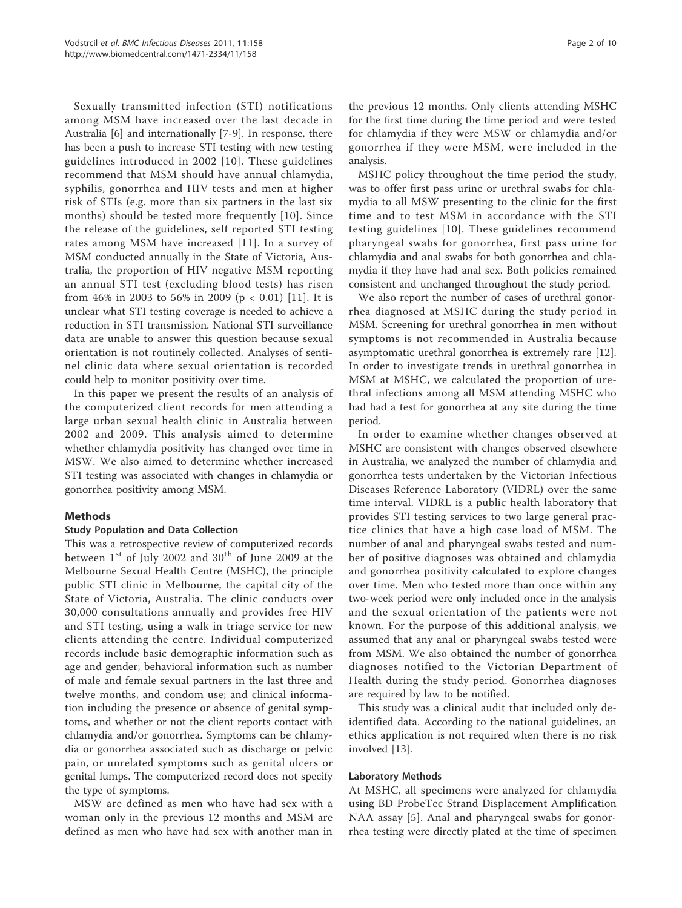Sexually transmitted infection (STI) notifications among MSM have increased over the last decade in Australia [6] and internationally [7-9]. In response, there has been a push to increase STI testing with new testing guidelines introduced in 2002 [10]. These guidelines recommend that MSM should have annual chlamydia, syphilis, gonorrhea and HIV tests and men at higher risk of STIs (e.g. more than six partners in the last six months) should be tested more frequently [10]. Since the release of the guidelines, self reported STI testing rates among MSM have increased [11]. In a survey of MSM conducted annually in the State of Victoria, Australia, the proportion of HIV negative MSM reporting an annual STI test (excluding blood tests) has risen from 46% in 2003 to 56% in 2009 ( $p < 0.01$ ) [11]. It is unclear what STI testing coverage is needed to achieve a reduction in STI transmission. National STI surveillance data are unable to answer this question because sexual orientation is not routinely collected. Analyses of sentinel clinic data where sexual orientation is recorded could help to monitor positivity over time.

In this paper we present the results of an analysis of the computerized client records for men attending a large urban sexual health clinic in Australia between 2002 and 2009. This analysis aimed to determine whether chlamydia positivity has changed over time in MSW. We also aimed to determine whether increased STI testing was associated with changes in chlamydia or gonorrhea positivity among MSM.

## Methods

#### Study Population and Data Collection

This was a retrospective review of computerized records between  $1^{st}$  of July 2002 and  $30^{th}$  of June 2009 at the Melbourne Sexual Health Centre (MSHC), the principle public STI clinic in Melbourne, the capital city of the State of Victoria, Australia. The clinic conducts over 30,000 consultations annually and provides free HIV and STI testing, using a walk in triage service for new clients attending the centre. Individual computerized records include basic demographic information such as age and gender; behavioral information such as number of male and female sexual partners in the last three and twelve months, and condom use; and clinical information including the presence or absence of genital symptoms, and whether or not the client reports contact with chlamydia and/or gonorrhea. Symptoms can be chlamydia or gonorrhea associated such as discharge or pelvic pain, or unrelated symptoms such as genital ulcers or genital lumps. The computerized record does not specify the type of symptoms.

MSW are defined as men who have had sex with a woman only in the previous 12 months and MSM are defined as men who have had sex with another man in

the previous 12 months. Only clients attending MSHC for the first time during the time period and were tested for chlamydia if they were MSW or chlamydia and/or gonorrhea if they were MSM, were included in the analysis.

MSHC policy throughout the time period the study, was to offer first pass urine or urethral swabs for chlamydia to all MSW presenting to the clinic for the first time and to test MSM in accordance with the STI testing guidelines [10]. These guidelines recommend pharyngeal swabs for gonorrhea, first pass urine for chlamydia and anal swabs for both gonorrhea and chlamydia if they have had anal sex. Both policies remained consistent and unchanged throughout the study period.

We also report the number of cases of urethral gonorrhea diagnosed at MSHC during the study period in MSM. Screening for urethral gonorrhea in men without symptoms is not recommended in Australia because asymptomatic urethral gonorrhea is extremely rare [12]. In order to investigate trends in urethral gonorrhea in MSM at MSHC, we calculated the proportion of urethral infections among all MSM attending MSHC who had had a test for gonorrhea at any site during the time period.

In order to examine whether changes observed at MSHC are consistent with changes observed elsewhere in Australia, we analyzed the number of chlamydia and gonorrhea tests undertaken by the Victorian Infectious Diseases Reference Laboratory (VIDRL) over the same time interval. VIDRL is a public health laboratory that provides STI testing services to two large general practice clinics that have a high case load of MSM. The number of anal and pharyngeal swabs tested and number of positive diagnoses was obtained and chlamydia and gonorrhea positivity calculated to explore changes over time. Men who tested more than once within any two-week period were only included once in the analysis and the sexual orientation of the patients were not known. For the purpose of this additional analysis, we assumed that any anal or pharyngeal swabs tested were from MSM. We also obtained the number of gonorrhea diagnoses notified to the Victorian Department of Health during the study period. Gonorrhea diagnoses are required by law to be notified.

This study was a clinical audit that included only deidentified data. According to the national guidelines, an ethics application is not required when there is no risk involved [13].

#### Laboratory Methods

At MSHC, all specimens were analyzed for chlamydia using BD ProbeTec Strand Displacement Amplification NAA assay [5]. Anal and pharyngeal swabs for gonorrhea testing were directly plated at the time of specimen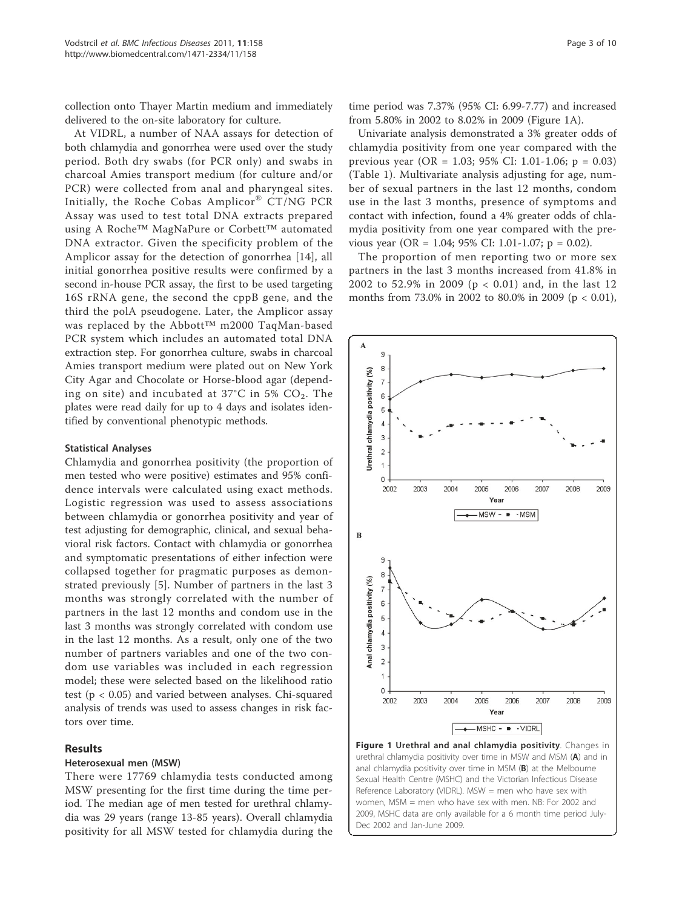collection onto Thayer Martin medium and immediately delivered to the on-site laboratory for culture.

At VIDRL, a number of NAA assays for detection of both chlamydia and gonorrhea were used over the study period. Both dry swabs (for PCR only) and swabs in charcoal Amies transport medium (for culture and/or PCR) were collected from anal and pharyngeal sites. Initially, the Roche Cobas Amplicor® CT/NG PCR Assay was used to test total DNA extracts prepared using A Roche™ MagNaPure or Corbett™ automated DNA extractor. Given the specificity problem of the Amplicor assay for the detection of gonorrhea [14], all initial gonorrhea positive results were confirmed by a second in-house PCR assay, the first to be used targeting 16S rRNA gene, the second the cppB gene, and the third the polA pseudogene. Later, the Amplicor assay was replaced by the Abbott™ m2000 TaqMan-based PCR system which includes an automated total DNA extraction step. For gonorrhea culture, swabs in charcoal Amies transport medium were plated out on New York City Agar and Chocolate or Horse-blood agar (depending on site) and incubated at  $37^{\circ}$ C in 5% CO<sub>2</sub>. The plates were read daily for up to 4 days and isolates identified by conventional phenotypic methods.

#### Statistical Analyses

Chlamydia and gonorrhea positivity (the proportion of men tested who were positive) estimates and 95% confidence intervals were calculated using exact methods. Logistic regression was used to assess associations between chlamydia or gonorrhea positivity and year of test adjusting for demographic, clinical, and sexual behavioral risk factors. Contact with chlamydia or gonorrhea and symptomatic presentations of either infection were collapsed together for pragmatic purposes as demonstrated previously [5]. Number of partners in the last 3 months was strongly correlated with the number of partners in the last 12 months and condom use in the last 3 months was strongly correlated with condom use in the last 12 months. As a result, only one of the two number of partners variables and one of the two condom use variables was included in each regression model; these were selected based on the likelihood ratio test (p < 0.05) and varied between analyses. Chi-squared analysis of trends was used to assess changes in risk factors over time.

## Results

## Heterosexual men (MSW)

There were 17769 chlamydia tests conducted among MSW presenting for the first time during the time period. The median age of men tested for urethral chlamydia was 29 years (range 13-85 years). Overall chlamydia positivity for all MSW tested for chlamydia during the time period was 7.37% (95% CI: 6.99-7.77) and increased from 5.80% in 2002 to 8.02% in 2009 (Figure 1A).

Univariate analysis demonstrated a 3% greater odds of chlamydia positivity from one year compared with the previous year (OR = 1.03; 95% CI: 1.01-1.06; p = 0.03) (Table 1). Multivariate analysis adjusting for age, number of sexual partners in the last 12 months, condom use in the last 3 months, presence of symptoms and contact with infection, found a 4% greater odds of chlamydia positivity from one year compared with the previous year (OR = 1.04; 95% CI: 1.01-1.07; p = 0.02).

The proportion of men reporting two or more sex partners in the last 3 months increased from 41.8% in 2002 to 52.9% in 2009 (p < 0.01) and, in the last 12 months from 73.0% in 2002 to 80.0% in 2009 (p < 0.01),



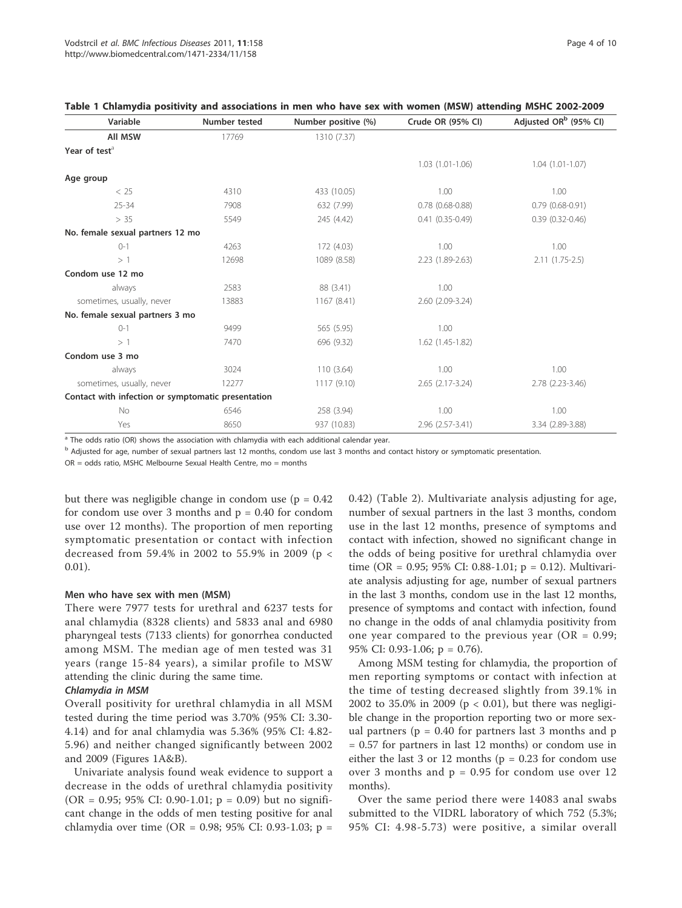| Variable                                           | <b>Number tested</b> | Number positive (%) | Crude OR (95% CI)      | Adjusted OR <sup>b</sup> (95% CI) |
|----------------------------------------------------|----------------------|---------------------|------------------------|-----------------------------------|
| <b>All MSW</b>                                     | 17769                | 1310 (7.37)         |                        |                                   |
| Year of test <sup>a</sup>                          |                      |                     |                        |                                   |
|                                                    |                      |                     | $1.03(1.01-1.06)$      | $1.04(1.01-1.07)$                 |
| Age group                                          |                      |                     |                        |                                   |
| < 25                                               | 4310                 | 433 (10.05)         | 1.00                   | 1.00                              |
| $25 - 34$                                          | 7908                 | 632 (7.99)          | $0.78$ $(0.68 - 0.88)$ | $0.79(0.68-0.91)$                 |
| > 35                                               | 5549                 | 245 (4.42)          | $0.41(0.35 - 0.49)$    | $0.39(0.32 - 0.46)$               |
| No. female sexual partners 12 mo                   |                      |                     |                        |                                   |
| $0 - 1$                                            | 4263                 | 172 (4.03)          | 1.00                   | 1.00                              |
| >1                                                 | 12698                | 1089 (8.58)         | 2.23 (1.89-2.63)       | $2.11(1.75-2.5)$                  |
| Condom use 12 mo                                   |                      |                     |                        |                                   |
| always                                             | 2583                 | 88 (3.41)           | 1.00                   |                                   |
| sometimes, usually, never                          | 13883                | 1167 (8.41)         | 2.60 (2.09-3.24)       |                                   |
| No. female sexual partners 3 mo                    |                      |                     |                        |                                   |
| $0 - 1$                                            | 9499                 | 565 (5.95)          | 1.00                   |                                   |
| >1                                                 | 7470                 | 696 (9.32)          | $1.62$ $(1.45-1.82)$   |                                   |
| Condom use 3 mo                                    |                      |                     |                        |                                   |
| always                                             | 3024                 | 110(3.64)           | 1.00                   | 1.00                              |
| sometimes, usually, never                          | 12277                | 1117 (9.10)         | 2.65 (2.17-3.24)       | 2.78 (2.23-3.46)                  |
| Contact with infection or symptomatic presentation |                      |                     |                        |                                   |
| No                                                 | 6546                 | 258 (3.94)          | 1.00                   | 1.00                              |
| Yes                                                | 8650                 | 937 (10.83)         | 2.96 (2.57-3.41)       | 3.34 (2.89-3.88)                  |
|                                                    |                      |                     |                        |                                   |

|  |  |  | Table 1 Chlamydia positivity and associations in men who have sex with women (MSW) attending MSHC 2002-2009 |  |  |  |  |  |  |  |
|--|--|--|-------------------------------------------------------------------------------------------------------------|--|--|--|--|--|--|--|
|--|--|--|-------------------------------------------------------------------------------------------------------------|--|--|--|--|--|--|--|

 $^a$  The odds ratio (OR) shows the association with chlamydia with each additional calendar year.

<sup>b</sup> Adjusted for age, number of sexual partners last 12 months, condom use last 3 months and contact history or symptomatic presentation.

 $OR = odds$  ratio, MSHC Melbourne Sexual Health Centre, mo = months

but there was negligible change in condom use  $(p = 0.42)$ for condom use over 3 months and  $p = 0.40$  for condom use over 12 months). The proportion of men reporting symptomatic presentation or contact with infection decreased from 59.4% in 2002 to 55.9% in 2009 (p < 0.01).

#### Men who have sex with men (MSM)

There were 7977 tests for urethral and 6237 tests for anal chlamydia (8328 clients) and 5833 anal and 6980 pharyngeal tests (7133 clients) for gonorrhea conducted among MSM. The median age of men tested was 31 years (range 15-84 years), a similar profile to MSW attending the clinic during the same time.

#### Chlamydia in MSM

Overall positivity for urethral chlamydia in all MSM tested during the time period was 3.70% (95% CI: 3.30- 4.14) and for anal chlamydia was 5.36% (95% CI: 4.82- 5.96) and neither changed significantly between 2002 and 2009 (Figures 1A&B).

Univariate analysis found weak evidence to support a decrease in the odds of urethral chlamydia positivity (OR = 0.95; 95% CI: 0.90-1.01;  $p = 0.09$ ) but no significant change in the odds of men testing positive for anal chlamydia over time (OR = 0.98; 95% CI: 0.93-1.03; p = 0.42) (Table 2). Multivariate analysis adjusting for age, number of sexual partners in the last 3 months, condom use in the last 12 months, presence of symptoms and contact with infection, showed no significant change in the odds of being positive for urethral chlamydia over time (OR = 0.95; 95% CI: 0.88-1.01; p = 0.12). Multivariate analysis adjusting for age, number of sexual partners in the last 3 months, condom use in the last 12 months, presence of symptoms and contact with infection, found no change in the odds of anal chlamydia positivity from one year compared to the previous year ( $OR = 0.99$ ; 95% CI: 0.93-1.06; p = 0.76).

Among MSM testing for chlamydia, the proportion of men reporting symptoms or contact with infection at the time of testing decreased slightly from 39.1% in 2002 to 35.0% in 2009 (p < 0.01), but there was negligible change in the proportion reporting two or more sexual partners ( $p = 0.40$  for partners last 3 months and  $p$ = 0.57 for partners in last 12 months) or condom use in either the last 3 or 12 months ( $p = 0.23$  for condom use over 3 months and  $p = 0.95$  for condom use over 12 months).

Over the same period there were 14083 anal swabs submitted to the VIDRL laboratory of which 752 (5.3%; 95% CI: 4.98-5.73) were positive, a similar overall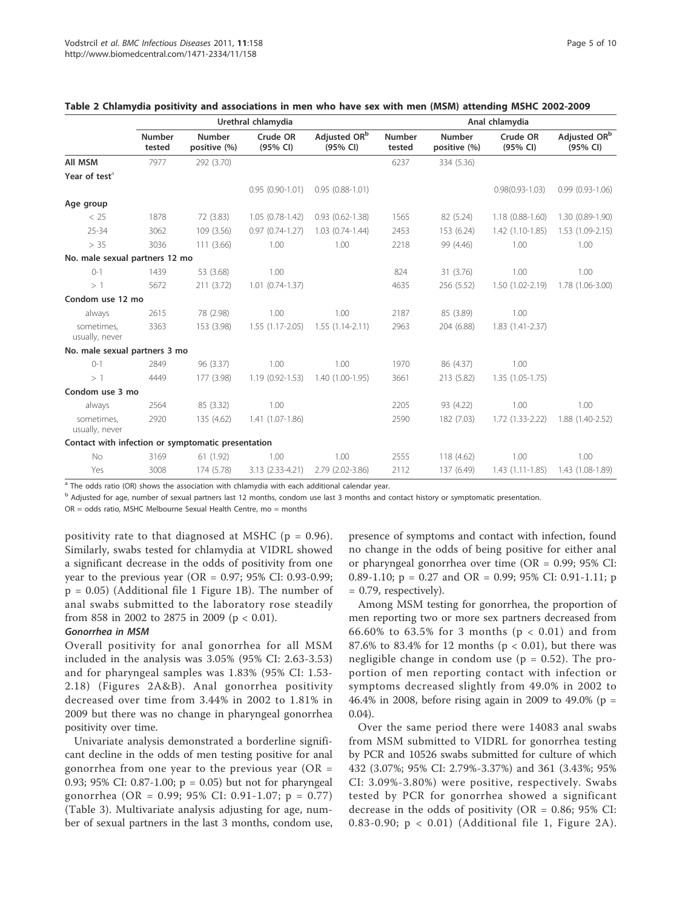|                                                    |                  |                               | Urethral chlamydia   |                                      | Anal chlamydia          |                        |                      |                                      |  |
|----------------------------------------------------|------------------|-------------------------------|----------------------|--------------------------------------|-------------------------|------------------------|----------------------|--------------------------------------|--|
|                                                    | Number<br>tested | <b>Number</b><br>positive (%) | Crude OR<br>(95% CI) | Adjusted OR <sup>b</sup><br>(95% CI) | <b>Number</b><br>tested | Number<br>positive (%) | Crude OR<br>(95% CI) | Adjusted OR <sup>b</sup><br>(95% CI) |  |
| All MSM                                            | 7977             | 292 (3.70)                    |                      |                                      | 6237                    | 334 (5.36)             |                      |                                      |  |
| Year of test <sup>a</sup>                          |                  |                               |                      |                                      |                         |                        |                      |                                      |  |
|                                                    |                  |                               | $0.95(0.90-1.01)$    | $0.95(0.88-1.01)$                    |                         |                        | $0.98(0.93 - 1.03)$  | $0.99(0.93 - 1.06)$                  |  |
| Age group                                          |                  |                               |                      |                                      |                         |                        |                      |                                      |  |
| < 25                                               | 1878             | 72 (3.83)                     | $1.05(0.78-1.42)$    | $0.93$ $(0.62 - 1.38)$               | 1565                    | 82 (5.24)              | 1.18 (0.88-1.60)     | 1.30 (0.89-1.90)                     |  |
| $25 - 34$                                          | 3062             | 109 (3.56)                    | $0.97(0.74-1.27)$    | 1.03 (0.74-1.44)                     | 2453                    | 153 (6.24)             | 1.42 (1.10-1.85)     | $1.53(1.09-2.15)$                    |  |
| > 35                                               | 3036             | 111(3.66)                     | 1.00                 | 1.00                                 | 2218                    | 99 (4.46)              | 1.00                 | 1.00                                 |  |
| No. male sexual partners 12 mo                     |                  |                               |                      |                                      |                         |                        |                      |                                      |  |
| $() - 1$                                           | 1439             | 53 (3.68)                     | 1.00                 |                                      | 824                     | 31 (3.76)              | 1.00                 | 1.00                                 |  |
| >1                                                 | 5672             | 211 (3.72)                    | $1.01$ $(0.74-1.37)$ |                                      | 4635                    | 256 (5.52)             | 1.50 (1.02-2.19)     | 1.78 (1.06-3.00)                     |  |
| Condom use 12 mo                                   |                  |                               |                      |                                      |                         |                        |                      |                                      |  |
| always                                             | 2615             | 78 (2.98)                     | 1.00                 | 1.00                                 | 2187                    | 85 (3.89)              | 1.00                 |                                      |  |
| sometimes.<br>usually, never                       | 3363             | 153 (3.98)                    | $1.55(1.17-2.05)$    | $1.55(1.14-2.11)$                    | 2963                    | 204 (6.88)             | 1.83 (1.41-2.37)     |                                      |  |
| No. male sexual partners 3 mo                      |                  |                               |                      |                                      |                         |                        |                      |                                      |  |
| $() - 1$                                           | 2849             | 96 (3.37)                     | 1.00                 | 1.00                                 | 1970                    | 86 (4.37)              | 1.00                 |                                      |  |
| >1                                                 | 4449             | 177 (3.98)                    | $1.19(0.92 - 1.53)$  | 1.40 (1.00-1.95)                     | 3661                    | 213 (5.82)             | $1.35(1.05-1.75)$    |                                      |  |
| Condom use 3 mo                                    |                  |                               |                      |                                      |                         |                        |                      |                                      |  |
| always                                             | 2564             | 85 (3.32)                     | 1.00                 |                                      | 2205                    | 93 (4.22)              | 1.00                 | 1.00                                 |  |
| sometimes,<br>usually, never                       | 2920             | 135 (4.62)                    | 1.41 (1.07-1.86)     |                                      | 2590                    | 182 (7.03)             | $1.72(1.33-2.22)$    | 1.88 (1.40-2.52)                     |  |
| Contact with infection or symptomatic presentation |                  |                               |                      |                                      |                         |                        |                      |                                      |  |
| No                                                 | 3169             | 61 (1.92)                     | 1.00                 | 1.00                                 | 2555                    | 118 (4.62)             | 1.00                 | 1.00                                 |  |
| Yes                                                | 3008             | 174 (5.78)                    | 3.13 (2.33-4.21)     | 2.79 (2.02-3.86)                     | 2112                    | 137 (6.49)             | $1.43(1.11-1.85)$    | 1.43 (1.08-1.89)                     |  |

|  |  |  |  | Table 2 Chlamydia positivity and associations in men who have sex with men (MSM) attending MSHC 2002-2009 |  |  |  |  |  |  |  |  |  |  |
|--|--|--|--|-----------------------------------------------------------------------------------------------------------|--|--|--|--|--|--|--|--|--|--|
|--|--|--|--|-----------------------------------------------------------------------------------------------------------|--|--|--|--|--|--|--|--|--|--|

The odds ratio (OR) shows the association with chlamydia with each additional calendar year.

<sup>b</sup> Adjusted for age, number of sexual partners last 12 months, condom use last 3 months and contact history or symptomatic presentation.

 $OR = odds ratio$ , MSHC Melbourne Sexual Health Centre, mo = months

positivity rate to that diagnosed at MSHC ( $p = 0.96$ ). Similarly, swabs tested for chlamydia at VIDRL showed a significant decrease in the odds of positivity from one year to the previous year (OR =  $0.97$ ; 95% CI: 0.93-0.99; p = 0.05) (Additional file 1 Figure 1B). The number of anal swabs submitted to the laboratory rose steadily from 858 in 2002 to 2875 in 2009 (p < 0.01).

#### Gonorrhea in MSM

Overall positivity for anal gonorrhea for all MSM included in the analysis was 3.05% (95% CI: 2.63-3.53) and for pharyngeal samples was 1.83% (95% CI: 1.53- 2.18) (Figures 2A&B). Anal gonorrhea positivity decreased over time from 3.44% in 2002 to 1.81% in 2009 but there was no change in pharyngeal gonorrhea positivity over time.

Univariate analysis demonstrated a borderline significant decline in the odds of men testing positive for anal gonorrhea from one year to the previous year ( $OR =$ 0.93; 95% CI: 0.87-1.00; p = 0.05) but not for pharyngeal gonorrhea (OR = 0.99; 95% CI: 0.91-1.07; p = 0.77) (Table 3). Multivariate analysis adjusting for age, number of sexual partners in the last 3 months, condom use,

presence of symptoms and contact with infection, found no change in the odds of being positive for either anal or pharyngeal gonorrhea over time (OR = 0.99; 95% CI: 0.89-1.10;  $p = 0.27$  and OR = 0.99; 95% CI: 0.91-1.11; p = 0.79, respectively).

Among MSM testing for gonorrhea, the proportion of men reporting two or more sex partners decreased from 66.60% to 63.5% for 3 months ( $p < 0.01$ ) and from 87.6% to 83.4% for 12 months ( $p < 0.01$ ), but there was negligible change in condom use ( $p = 0.52$ ). The proportion of men reporting contact with infection or symptoms decreased slightly from 49.0% in 2002 to 46.4% in 2008, before rising again in 2009 to 49.0% (p = 0.04).

Over the same period there were 14083 anal swabs from MSM submitted to VIDRL for gonorrhea testing by PCR and 10526 swabs submitted for culture of which 432 (3.07%; 95% CI: 2.79%-3.37%) and 361 (3.43%; 95% CI: 3.09%-3.80%) were positive, respectively. Swabs tested by PCR for gonorrhea showed a significant decrease in the odds of positivity ( $OR = 0.86$ ; 95% CI: 0.83-0.90; p < 0.01) (Additional file 1, Figure 2A).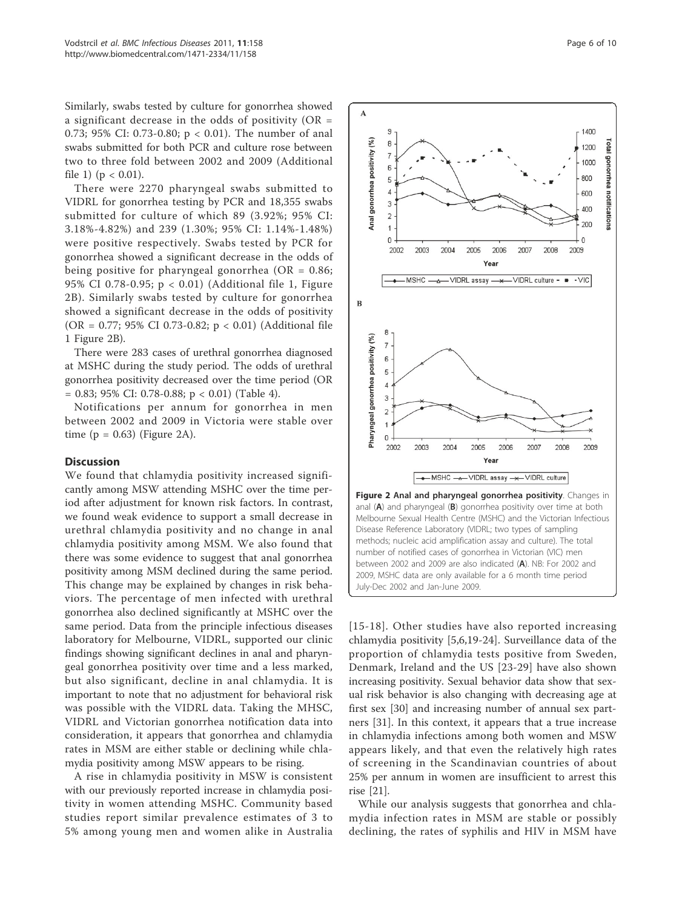Similarly, swabs tested by culture for gonorrhea showed a significant decrease in the odds of positivity ( $OR =$ 0.73; 95% CI: 0.73-0.80; p < 0.01). The number of anal swabs submitted for both PCR and culture rose between two to three fold between 2002 and 2009 (Additional file 1) ( $p < 0.01$ ).

There were 2270 pharyngeal swabs submitted to VIDRL for gonorrhea testing by PCR and 18,355 swabs submitted for culture of which 89 (3.92%; 95% CI: 3.18%-4.82%) and 239 (1.30%; 95% CI: 1.14%-1.48%) were positive respectively. Swabs tested by PCR for gonorrhea showed a significant decrease in the odds of being positive for pharyngeal gonorrhea (OR =  $0.86$ ; 95% CI 0.78-0.95; p < 0.01) (Additional file 1, Figure 2B). Similarly swabs tested by culture for gonorrhea showed a significant decrease in the odds of positivity (OR = 0.77; 95% CI 0.73-0.82; p < 0.01) (Additional file 1 Figure 2B).

There were 283 cases of urethral gonorrhea diagnosed at MSHC during the study period. The odds of urethral gonorrhea positivity decreased over the time period (OR  $= 0.83$ ; 95% CI: 0.78-0.88; p < 0.01) (Table 4).

Notifications per annum for gonorrhea in men between 2002 and 2009 in Victoria were stable over time  $(p = 0.63)$  (Figure 2A).

## **Discussion**

We found that chlamydia positivity increased significantly among MSW attending MSHC over the time period after adjustment for known risk factors. In contrast, we found weak evidence to support a small decrease in urethral chlamydia positivity and no change in anal chlamydia positivity among MSM. We also found that there was some evidence to suggest that anal gonorrhea positivity among MSM declined during the same period. This change may be explained by changes in risk behaviors. The percentage of men infected with urethral gonorrhea also declined significantly at MSHC over the same period. Data from the principle infectious diseases laboratory for Melbourne, VIDRL, supported our clinic findings showing significant declines in anal and pharyngeal gonorrhea positivity over time and a less marked, but also significant, decline in anal chlamydia. It is important to note that no adjustment for behavioral risk was possible with the VIDRL data. Taking the MHSC, VIDRL and Victorian gonorrhea notification data into consideration, it appears that gonorrhea and chlamydia rates in MSM are either stable or declining while chlamydia positivity among MSW appears to be rising.

A rise in chlamydia positivity in MSW is consistent with our previously reported increase in chlamydia positivity in women attending MSHC. Community based studies report similar prevalence estimates of 3 to 5% among young men and women alike in Australia

Figure 2 Anal and pharyngeal gonorrhea positivity. Changes in anal (A) and pharyngeal (B) gonorrhea positivity over time at both Melbourne Sexual Health Centre (MSHC) and the Victorian Infectious Disease Reference Laboratory (VIDRL; two types of sampling methods; nucleic acid amplification assay and culture). The total number of notified cases of gonorrhea in Victorian (VIC) men between 2002 and 2009 are also indicated (A). NB: For 2002 and 2009, MSHC data are only available for a 6 month time period July-Dec 2002 and Jan-June 2009.

[15-18]. Other studies have also reported increasing chlamydia positivity [5,6,19-24]. Surveillance data of the proportion of chlamydia tests positive from Sweden, Denmark, Ireland and the US [23-29] have also shown increasing positivity. Sexual behavior data show that sexual risk behavior is also changing with decreasing age at first sex [30] and increasing number of annual sex partners [31]. In this context, it appears that a true increase in chlamydia infections among both women and MSW appears likely, and that even the relatively high rates of screening in the Scandinavian countries of about 25% per annum in women are insufficient to arrest this rise [21].

While our analysis suggests that gonorrhea and chlamydia infection rates in MSM are stable or possibly declining, the rates of syphilis and HIV in MSM have

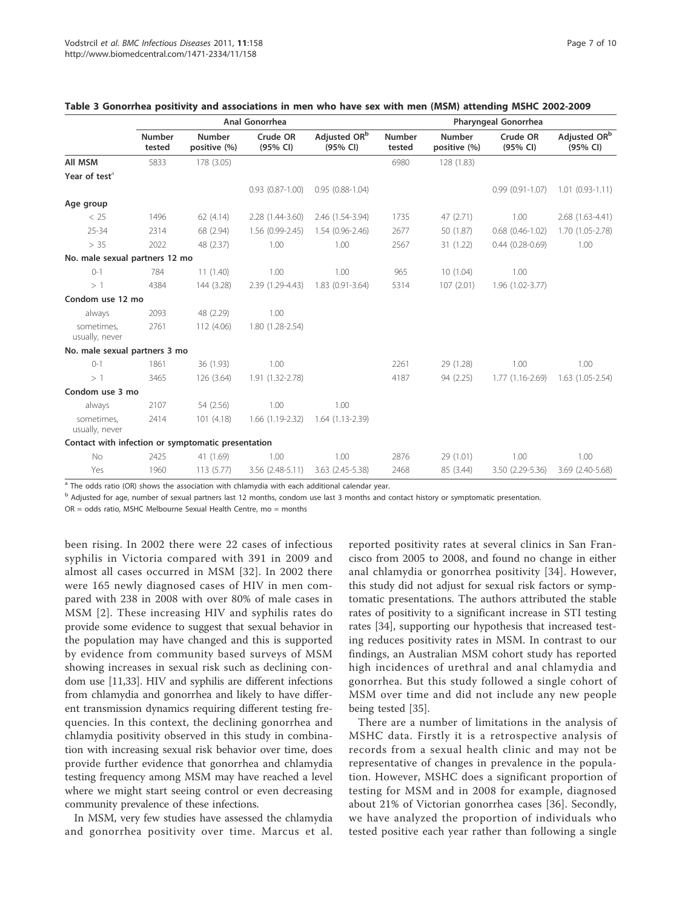|                                                    |                         |                               | Anal Gonorrhea         |                                      | Pharyngeal Gonorrhea    |                        |                        |                                      |  |
|----------------------------------------------------|-------------------------|-------------------------------|------------------------|--------------------------------------|-------------------------|------------------------|------------------------|--------------------------------------|--|
|                                                    | <b>Number</b><br>tested | <b>Number</b><br>positive (%) | Crude OR<br>(95% CI)   | Adjusted OR <sup>b</sup><br>(95% CI) | <b>Number</b><br>tested | Number<br>positive (%) | Crude OR<br>(95% CI)   | Adjusted OR <sup>b</sup><br>(95% CI) |  |
| All MSM                                            | 5833                    | 178 (3.05)                    |                        |                                      | 6980                    | 128 (1.83)             |                        |                                      |  |
| Year of test <sup>a</sup>                          |                         |                               |                        |                                      |                         |                        |                        |                                      |  |
|                                                    |                         |                               | $0.93$ $(0.87 - 1.00)$ | $0.95(0.88-1.04)$                    |                         |                        | $0.99(0.91 - 1.07)$    | $1.01$ $(0.93-1.11)$                 |  |
| Age group                                          |                         |                               |                        |                                      |                         |                        |                        |                                      |  |
| < 25                                               | 1496                    | 62 (4.14)                     | 2.28 (1.44-3.60)       | 2.46 (1.54-3.94)                     | 1735                    | 47 (2.71)              | 1.00                   | 2.68 (1.63-4.41)                     |  |
| $25 - 34$                                          | 2314                    | 68 (2.94)                     | 1.56 (0.99-2.45)       | $1.54(0.96 - 2.46)$                  | 2677                    | 50 (1.87)              | $0.68$ $(0.46 - 1.02)$ | 1.70 (1.05-2.78)                     |  |
| > 35                                               | 2022                    | 48 (2.37)                     | 1.00                   | 1.00                                 | 2567                    | 31 (1.22)              | $0.44(0.28 - 0.69)$    | 1.00                                 |  |
| No. male sexual partners 12 mo                     |                         |                               |                        |                                      |                         |                        |                        |                                      |  |
| $0 - 1$                                            | 784                     | 11(1.40)                      | 1.00                   | 1.00                                 | 965                     | 10(1.04)               | 1.00                   |                                      |  |
| >1                                                 | 4384                    | 144 (3.28)                    | 2.39 (1.29-4.43)       | $1.83(0.91 - 3.64)$                  | 5314                    | 107(2.01)              | 1.96 (1.02-3.77)       |                                      |  |
| Condom use 12 mo                                   |                         |                               |                        |                                      |                         |                        |                        |                                      |  |
| always                                             | 2093                    | 48 (2.29)                     | 1.00                   |                                      |                         |                        |                        |                                      |  |
| sometimes,<br>usually, never                       | 2761                    | 112 (4.06)                    | 1.80 (1.28-2.54)       |                                      |                         |                        |                        |                                      |  |
| No. male sexual partners 3 mo                      |                         |                               |                        |                                      |                         |                        |                        |                                      |  |
| $() - 1$                                           | 1861                    | 36 (1.93)                     | 1.00                   |                                      | 2261                    | 29 (1.28)              | 1.00                   | 1.00                                 |  |
| >1                                                 | 3465                    | 126 (3.64)                    | 1.91 (1.32-2.78)       |                                      | 4187                    | 94 (2.25)              | $1.77(1.16-2.69)$      | $1.63$ $(1.05 - 2.54)$               |  |
| Condom use 3 mo                                    |                         |                               |                        |                                      |                         |                        |                        |                                      |  |
| always                                             | 2107                    | 54 (2.56)                     | 1.00                   | 1.00                                 |                         |                        |                        |                                      |  |
| sometimes,<br>usually, never                       | 2414                    | 101(4.18)                     | 1.66 (1.19-2.32)       | $1.64(1.13-2.39)$                    |                         |                        |                        |                                      |  |
| Contact with infection or symptomatic presentation |                         |                               |                        |                                      |                         |                        |                        |                                      |  |
| No                                                 | 2425                    | 41 (1.69)                     | 1.00                   | 1.00                                 | 2876                    | 29 (1.01)              | 1.00                   | 1.00                                 |  |
| Yes                                                | 1960                    | 113(5.77)                     | 3.56 (2.48-5.11)       | 3.63 (2.45-5.38)                     | 2468                    | 85 (3.44)              | 3.50 (2.29-5.36)       | 3.69 (2.40-5.68)                     |  |

## Table 3 Gonorrhea positivity and associations in men who have sex with men (MSM) attending MSHC 2002-2009

The odds ratio (OR) shows the association with chlamydia with each additional calendar year.

<sup>b</sup> Adjusted for age, number of sexual partners last 12 months, condom use last 3 months and contact history or symptomatic presentation.

 $OR = odds ratio$ , MSHC Melbourne Sexual Health Centre, mo = months

been rising. In 2002 there were 22 cases of infectious syphilis in Victoria compared with 391 in 2009 and almost all cases occurred in MSM [32]. In 2002 there were 165 newly diagnosed cases of HIV in men compared with 238 in 2008 with over 80% of male cases in MSM [2]. These increasing HIV and syphilis rates do provide some evidence to suggest that sexual behavior in the population may have changed and this is supported by evidence from community based surveys of MSM showing increases in sexual risk such as declining condom use [11,33]. HIV and syphilis are different infections from chlamydia and gonorrhea and likely to have different transmission dynamics requiring different testing frequencies. In this context, the declining gonorrhea and chlamydia positivity observed in this study in combination with increasing sexual risk behavior over time, does provide further evidence that gonorrhea and chlamydia testing frequency among MSM may have reached a level where we might start seeing control or even decreasing community prevalence of these infections.

In MSM, very few studies have assessed the chlamydia and gonorrhea positivity over time. Marcus et al.

reported positivity rates at several clinics in San Francisco from 2005 to 2008, and found no change in either anal chlamydia or gonorrhea positivity [34]. However, this study did not adjust for sexual risk factors or symptomatic presentations. The authors attributed the stable rates of positivity to a significant increase in STI testing rates [34], supporting our hypothesis that increased testing reduces positivity rates in MSM. In contrast to our findings, an Australian MSM cohort study has reported high incidences of urethral and anal chlamydia and gonorrhea. But this study followed a single cohort of MSM over time and did not include any new people being tested [35].

There are a number of limitations in the analysis of MSHC data. Firstly it is a retrospective analysis of records from a sexual health clinic and may not be representative of changes in prevalence in the population. However, MSHC does a significant proportion of testing for MSM and in 2008 for example, diagnosed about 21% of Victorian gonorrhea cases [36]. Secondly, we have analyzed the proportion of individuals who tested positive each year rather than following a single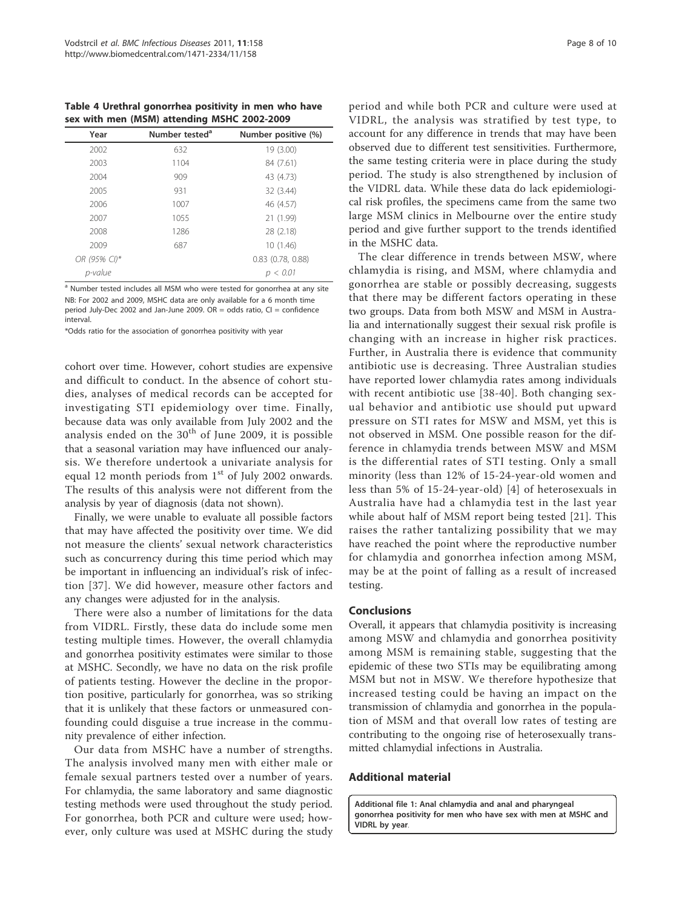Table 4 Urethral gonorrhea positivity in men who have sex with men (MSM) attending MSHC 2002-2009

| Year         | Number tested <sup>a</sup> | Number positive (%)   |
|--------------|----------------------------|-----------------------|
| 2002         | 632                        | 19 (3.00)             |
| 2003         | 1104                       | 84 (7.61)             |
| 2004         | 909                        | 43 (4.73)             |
| 2005         | 931                        | 32 (3.44)             |
| 2006         | 1007                       | 46 (4.57)             |
| 2007         | 1055                       | 21 (1.99)             |
| 2008         | 1286                       | 28 (2.18)             |
| 2009         | 687                        | 10 (1.46)             |
| OR (95% CI)* |                            | $0.83$ $(0.78, 0.88)$ |
| p-value      |                            | p < 0.01              |

<sup>a</sup> Number tested includes all MSM who were tested for gonorrhea at any site NB: For 2002 and 2009, MSHC data are only available for a 6 month time period July-Dec 2002 and Jan-June 2009. OR = odds ratio, CI = confidence interval.

\*Odds ratio for the association of gonorrhea positivity with year

cohort over time. However, cohort studies are expensive and difficult to conduct. In the absence of cohort studies, analyses of medical records can be accepted for investigating STI epidemiology over time. Finally, because data was only available from July 2002 and the analysis ended on the  $30<sup>th</sup>$  of June 2009, it is possible that a seasonal variation may have influenced our analysis. We therefore undertook a univariate analysis for equal 12 month periods from  $1<sup>st</sup>$  of July 2002 onwards. The results of this analysis were not different from the analysis by year of diagnosis (data not shown).

Finally, we were unable to evaluate all possible factors that may have affected the positivity over time. We did not measure the clients' sexual network characteristics such as concurrency during this time period which may be important in influencing an individual's risk of infection [37]. We did however, measure other factors and any changes were adjusted for in the analysis.

There were also a number of limitations for the data from VIDRL. Firstly, these data do include some men testing multiple times. However, the overall chlamydia and gonorrhea positivity estimates were similar to those at MSHC. Secondly, we have no data on the risk profile of patients testing. However the decline in the proportion positive, particularly for gonorrhea, was so striking that it is unlikely that these factors or unmeasured confounding could disguise a true increase in the community prevalence of either infection.

Our data from MSHC have a number of strengths. The analysis involved many men with either male or female sexual partners tested over a number of years. For chlamydia, the same laboratory and same diagnostic testing methods were used throughout the study period. For gonorrhea, both PCR and culture were used; however, only culture was used at MSHC during the study

period and while both PCR and culture were used at VIDRL, the analysis was stratified by test type, to account for any difference in trends that may have been observed due to different test sensitivities. Furthermore, the same testing criteria were in place during the study period. The study is also strengthened by inclusion of the VIDRL data. While these data do lack epidemiological risk profiles, the specimens came from the same two large MSM clinics in Melbourne over the entire study period and give further support to the trends identified in the MSHC data.

The clear difference in trends between MSW, where chlamydia is rising, and MSM, where chlamydia and gonorrhea are stable or possibly decreasing, suggests that there may be different factors operating in these two groups. Data from both MSW and MSM in Australia and internationally suggest their sexual risk profile is changing with an increase in higher risk practices. Further, in Australia there is evidence that community antibiotic use is decreasing. Three Australian studies have reported lower chlamydia rates among individuals with recent antibiotic use [38-40]. Both changing sexual behavior and antibiotic use should put upward pressure on STI rates for MSW and MSM, yet this is not observed in MSM. One possible reason for the difference in chlamydia trends between MSW and MSM is the differential rates of STI testing. Only a small minority (less than 12% of 15-24-year-old women and less than 5% of 15-24-year-old) [4] of heterosexuals in Australia have had a chlamydia test in the last year while about half of MSM report being tested [21]. This raises the rather tantalizing possibility that we may have reached the point where the reproductive number for chlamydia and gonorrhea infection among MSM, may be at the point of falling as a result of increased testing.

#### **Conclusions**

Overall, it appears that chlamydia positivity is increasing among MSW and chlamydia and gonorrhea positivity among MSM is remaining stable, suggesting that the epidemic of these two STIs may be equilibrating among MSM but not in MSW. We therefore hypothesize that increased testing could be having an impact on the transmission of chlamydia and gonorrhea in the population of MSM and that overall low rates of testing are contributing to the ongoing rise of heterosexually transmitted chlamydial infections in Australia.

## Additional material

Additional file 1: Anal chlamydia and anal and pharyngeal gonorrhea positivity for men who have sex with men at MSHC and VIDRL by year.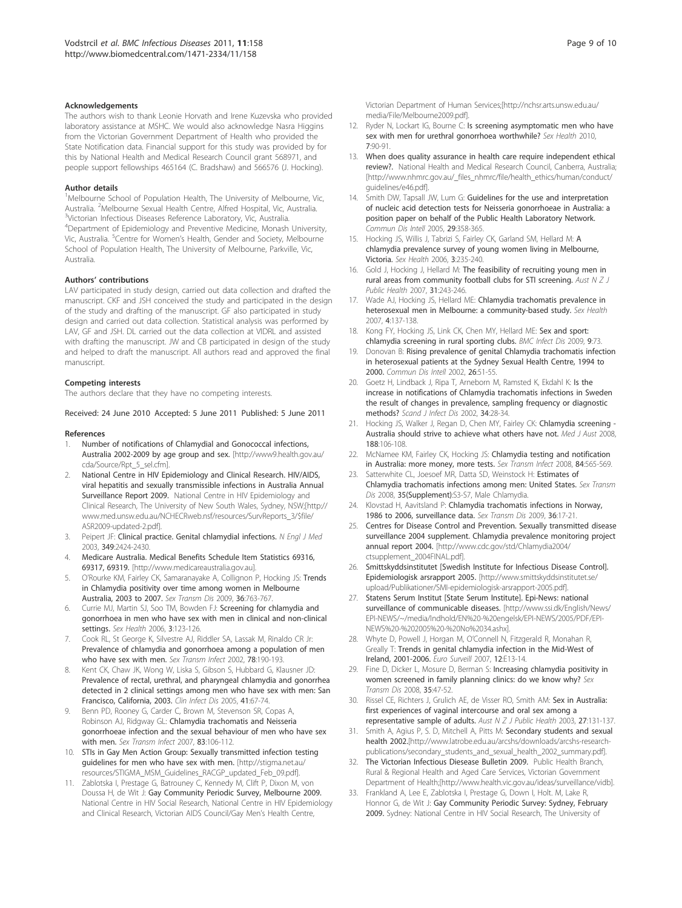#### Acknowledgements

The authors wish to thank Leonie Horvath and Irene Kuzevska who provided laboratory assistance at MSHC. We would also acknowledge Nasra Higgins from the Victorian Government Department of Health who provided the State Notification data. Financial support for this study was provided by for this by National Health and Medical Research Council grant 568971, and people support fellowships 465164 (C. Bradshaw) and 566576 (J. Hocking).

#### Author details

<sup>1</sup>Melbourne School of Population Health, The University of Melbourne, Vic, Australia. <sup>2</sup> Melbourne Sexual Health Centre, Alfred Hospital, Vic, Australia.<br><sup>3</sup> Victorian Infectious Disoases Reference Laberatory, Vic, Australia. <sup>3</sup>Victorian Infectious Diseases Reference Laboratory, Vic, Australia. 4 Department of Epidemiology and Preventive Medicine, Monash University, Vic, Australia. <sup>5</sup>Centre for Women's Health, Gender and Society, Melbourne School of Population Health, The University of Melbourne, Parkville, Vic, Australia.

#### Authors' contributions

LAV participated in study design, carried out data collection and drafted the manuscript. CKF and JSH conceived the study and participated in the design of the study and drafting of the manuscript. GF also participated in study design and carried out data collection. Statistical analysis was performed by LAV, GF and JSH. DL carried out the data collection at VIDRL and assisted with drafting the manuscript. JW and CB participated in design of the study and helped to draft the manuscript. All authors read and approved the final manuscript.

#### Competing interests

The authors declare that they have no competing interests.

Received: 24 June 2010 Accepted: 5 June 2011 Published: 5 June 2011

#### References

- Number of notifications of Chlamydial and Gonococcal infections, Australia 2002-2009 by age group and sex. [http://www9.health.gov.au/ cda/Source/Rpt\_5\_sel.cfm].
- 2. National Centre in HIV Epidemiology and Clinical Research. HIV/AIDS, viral hepatitis and sexually transmissible infections in Australia Annual Surveillance Report 2009. National Centre in HIV Epidemiology and Clinical Research, The University of New South Wales, Sydney, NSW;[http:// www.med.unsw.edu.au/NCHECRweb.nsf/resources/SurvReports\_3/\$file/ ASR2009-updated-2.pdf].
- 3. Peipert JF: Clinical practice. Genital chlamydial infections. N Engl J Med 2003, 349:2424-2430.
- 4. Medicare Australia. Medical Benefits Schedule Item Statistics 69316, 69317, 69319. [http://www.medicareaustralia.gov.au].
- 5. O'Rourke KM, Fairley CK, Samaranayake A, Collignon P, Hocking JS: Trends in Chlamydia positivity over time among women in Melbourne Australia, 2003 to 2007. Sex Transm Dis 2009, 36:763-767.
- 6. Currie MJ, Martin SJ, Soo TM, Bowden FJ: Screening for chlamydia and gonorrhoea in men who have sex with men in clinical and non-clinical settings. Sex Health 2006, 3:123-126.
- 7. Cook RL, St George K, Silvestre AJ, Riddler SA, Lassak M, Rinaldo CR Jr: Prevalence of chlamydia and gonorrhoea among a population of men who have sex with men. Sex Transm Infect 2002, 78:190-193.
- Kent CK, Chaw JK, Wong W, Liska S, Gibson S, Hubbard G, Klausner JD: Prevalence of rectal, urethral, and pharyngeal chlamydia and gonorrhea detected in 2 clinical settings among men who have sex with men: San Francisco, California, 2003. Clin Infect Dis 2005, 41:67-74.
- Benn PD, Rooney G, Carder C, Brown M, Stevenson SR, Copas A, Robinson AJ, Ridgway GL: Chlamydia trachomatis and Neisseria gonorrhoeae infection and the sexual behaviour of men who have sex with men. Sex Transm Infect 2007, 83:106-112.
- 10. STIs in Gay Men Action Group: Sexually transmitted infection testing guidelines for men who have sex with men. [http://stigma.net.au/ resources/STIGMA\_MSM\_Guidelines\_RACGP\_updated\_Feb\_09.pdf].
- 11. Zablotska I, Prestage G, Batrouney C, Kennedy M, Clift P, Dixon M, von Doussa H, de Wit J: Gay Community Periodic Survey, Melbourne 2009. National Centre in HIV Social Research, National Centre in HIV Epidemiology and Clinical Research, Victorian AIDS Council/Gay Men's Health Centre,
- 12. Ryder N, Lockart IG, Bourne C: Is screening asymptomatic men who have sex with men for urethral gonorrhoea worthwhile? Sex Health 2010, 7:90-91.
- 13. When does quality assurance in health care require independent ethical review?. National Health and Medical Research Council, Canberra, Australia; [http://www.nhmrc.gov.au/\_files\_nhmrc/file/health\_ethics/human/conduct/ guidelines/e46.pdf].
- 14. Smith DW, Tapsall JW, Lum G: Guidelines for the use and interpretation of nucleic acid detection tests for Neisseria gonorrhoeae in Australia: a position paper on behalf of the Public Health Laboratory Network. Commun Dis Intell 2005, 29:358-365.
- 15. Hocking JS, Willis J, Tabrizi S, Fairley CK, Garland SM, Hellard M: A chlamydia prevalence survey of young women living in Melbourne, Victoria. Sex Health 2006, 3:235-240.
- 16. Gold J, Hocking J, Hellard M: The feasibility of recruiting young men in rural areas from community football clubs for STI screening. Aust  $N Z J$ Public Health 2007, 31:243-246.
- 17. Wade AJ, Hocking JS, Hellard ME: Chlamydia trachomatis prevalence in heterosexual men in Melbourne: a community-based study. Sex Health 2007, 4:137-138.
- 18. Kong FY, Hocking JS, Link CK, Chen MY, Hellard ME: Sex and sport: chlamydia screening in rural sporting clubs. BMC Infect Dis 2009, 9:73.
- 19. Donovan B: Rising prevalence of genital Chlamydia trachomatis infection in heterosexual patients at the Sydney Sexual Health Centre, 1994 to 2000. Commun Dis Intell 2002, 26:51-55.
- 20. Goetz H, Lindback J, Ripa T, Arneborn M, Ramsted K, Ekdahl K; Is the increase in notifications of Chlamydia trachomatis infections in Sweden the result of changes in prevalence, sampling frequency or diagnostic methods? Scand J Infect Dis 2002, 34:28-34.
- 21. Hocking JS, Walker J, Regan D, Chen MY, Fairley CK: Chlamydia screening -Australia should strive to achieve what others have not. Med J Aust 2008, 188:106-108.
- McNamee KM, Fairley CK, Hocking JS: Chlamydia testing and notification in Australia: more money, more tests. Sex Transm Infect 2008, 84:565-569.
- 23. Satterwhite CL, Joesoef MR, Datta SD, Weinstock H: Estimates of Chlamydia trachomatis infections among men: United States. Sex Transm Dis 2008, 35(Supplement):S3-S7, Male Chlamydia.
- 24. Klovstad H, Aavitsland P: Chlamydia trachomatis infections in Norway, 1986 to 2006, surveillance data. Sex Transm Dis 2009, 36:17-21.
- 25. Centres for Disease Control and Prevention. Sexually transmitted disease surveillance 2004 supplement. Chlamydia prevalence monitoring project annual report 2004. [http://www.cdc.gov/std/Chlamydia2004/ ctsupplement\_2004FINAL.pdf].
- 26. Smittskyddsinstitutet [Swedish Institute for Infectious Disease Control]. Epidemiologisk arsrapport 2005. [http://www.smittskyddsinstitutet.se/ upload/Publikationer/SMI-epidemiologisk-arsrapport-2005.pdf].
- 27. Statens Serum Institut [State Serum Institute]. Epi-News: national surveillance of communicable diseases. [http://www.ssi.dk/English/News/ EPI-NEWS/~/media/Indhold/EN%20-%20engelsk/EPI-NEWS/2005/PDF/EPI-NEWS%20-%202005%20-%20No%2034.ashx].
- 28. Whyte D, Powell J, Horgan M, O'Connell N, Fitzgerald R, Monahan R, Greally T: Trends in genital chlamydia infection in the Mid-West of Ireland, 2001-2006. Euro Surveill 2007, 12:E13-14.
- 29. Fine D, Dicker L, Mosure D, Berman S: Increasing chlamydia positivity in women screened in family planning clinics: do we know why? Sex Transm Dis 2008, 35:47-52.
- 30. Rissel CE, Richters J, Grulich AE, de Visser RO, Smith AM: Sex in Australia: first experiences of vaginal intercourse and oral sex among a representative sample of adults. Aust N Z J Public Health 2003, 27:131-137.
- 31. Smith A, Agius P, S. D, Mitchell A, Pitts M: Secondary students and sexual health 2002.[http://www.latrobe.edu.au/arcshs/downloads/arcshs-researchpublications/secondary\_students\_and\_sexual\_health\_2002\_summary.pdf].
- 32. The Victorian Infectious Diesease Bulletin 2009. Public Health Branch, Rural & Regional Health and Aged Care Services, Victorian Government Department of Health;[http://www.health.vic.gov.au/ideas/surveillance/vidb].
- 33. Frankland A, Lee E, Zablotska I, Prestage G, Down I, Holt. M, Lake R, Honnor G, de Wit J: Gay Community Periodic Survey: Sydney, February 2009. Sydney: National Centre in HIV Social Research, The University of